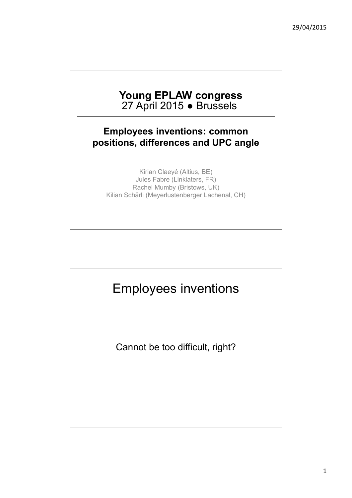#### **Young EPLAW congress**  27 April 2015 ● Brussels

#### **Employees inventions: common positions, differences and UPC angle**

Kirian Claeyé (Altius, BE) Jules Fabre (Linklaters, FR) Rachel Mumby (Bristows, UK) Kilian Schärli (Meyerlustenberger Lachenal, CH)



Cannot be too difficult, right?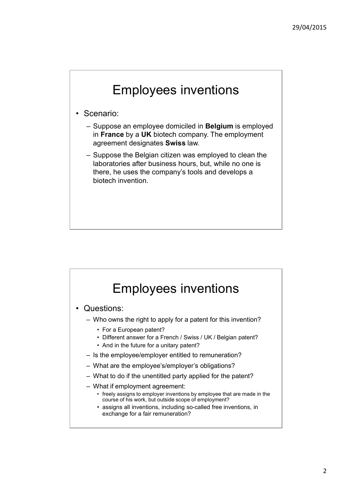- Scenario:
	- Suppose an employee domiciled in **Belgium** is employed in **France** by a **UK** biotech company. The employment agreement designates **Swiss** law.
	- Suppose the Belgian citizen was employed to clean the laboratories after business hours, but, while no one is there, he uses the company's tools and develops a biotech invention.

# Employees inventions

- Questions:
	- Who owns the right to apply for a patent for this invention?
		- For a European patent?
		- Different answer for a French / Swiss / UK / Belgian patent?
		- And in the future for a unitary patent?
	- Is the employee/employer entitled to remuneration?
	- What are the employee's/employer's obligations?
	- What to do if the unentitled party applied for the patent?
	- What if employment agreement:
		- freely assigns to employer inventions by employee that are made in the course of his work, but outside scope of employment?
		- assigns all inventions, including so-called free inventions, in exchange for a fair remuneration?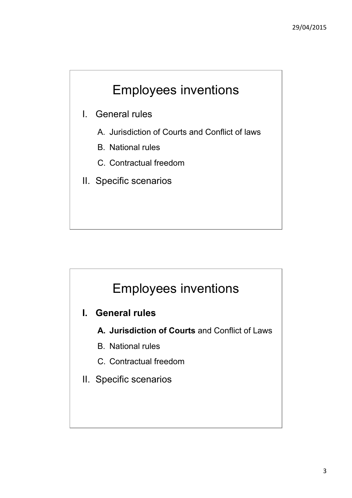- I. General rules
	- A. Jurisdiction of Courts and Conflict of laws
	- B. National rules
	- C. Contractual freedom
- II. Specific scenarios

### Employees inventions

- **I. General rules**
	- **A. Jurisdiction of Courts** and Conflict of Laws
	- B. National rules
	- C. Contractual freedom
- II. Specific scenarios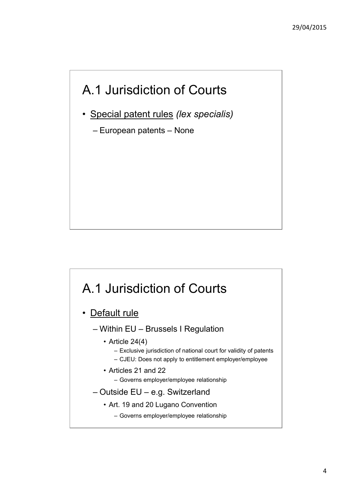### A.1 Jurisdiction of Courts

- Special patent rules *(lex specialis)*
	- European patents None

### A.1 Jurisdiction of Courts • Default rule – Within EU – Brussels I Regulation • Article  $24(4)$ – Exclusive jurisdiction of national court for validity of patents – CJEU: Does not apply to entitlement employer/employee • Articles 21 and 22 – Governs employer/employee relationship – Outside EU – e.g. Switzerland • Art. 19 and 20 Lugano Convention – Governs employer/employee relationship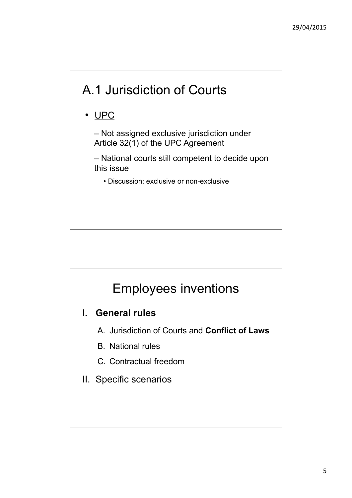## A.1 Jurisdiction of Courts

### • UPC

– Not assigned exclusive jurisdiction under Article 32(1) of the UPC Agreement

– National courts still competent to decide upon this issue

• Discussion: exclusive or non-exclusive

### Employees inventions

#### **I. General rules**

- A. Jurisdiction of Courts and **Conflict of Laws**
- B. National rules
- C. Contractual freedom
- II. Specific scenarios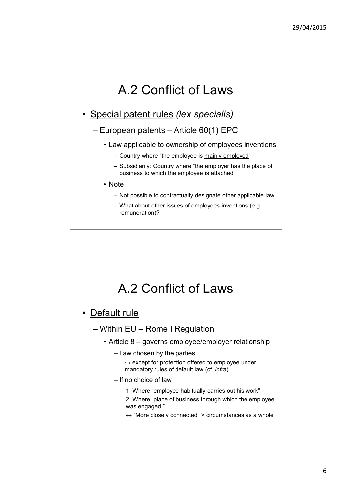### A.2 Conflict of Laws

- Special patent rules *(lex specialis)*
	- European patents Article 60(1) EPC
		- Law applicable to ownership of employees inventions
			- Country where "the employee is mainly employed"
			- Subsidiarily: Country where "the employer has the place of business to which the employee is attached"
		- Note
			- Not possible to contractually designate other applicable law
			- What about other issues of employees inventions (e.g. remuneration)?

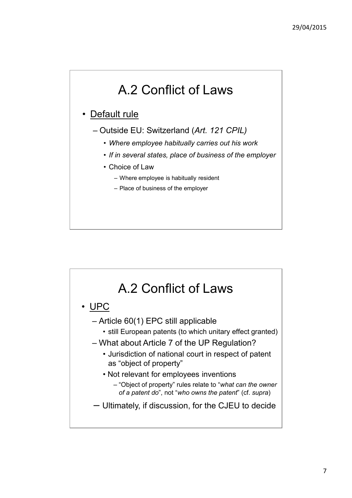### A.2 Conflict of Laws

#### • Default rule

- Outside EU: Switzerland (*Art. 121 CPIL)* 
	- *Where employee habitually carries out his work*
	- *If in several states, place of business of the employer*
	- Choice of Law
		- Where employee is habitually resident
		- Place of business of the employer

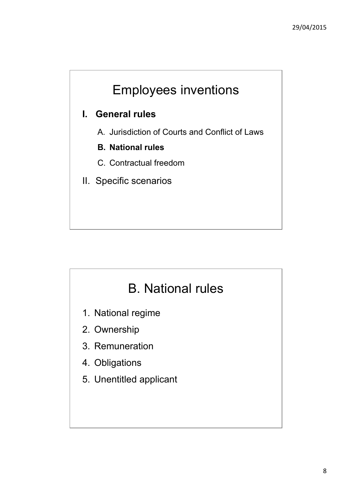#### **I. General rules**

- A. Jurisdiction of Courts and Conflict of Laws
- **B. National rules**
- C. Contractual freedom
- II. Specific scenarios

### B. National rules

- 1. National regime
- 2. Ownership
- 3. Remuneration
- 4. Obligations
- 5. Unentitled applicant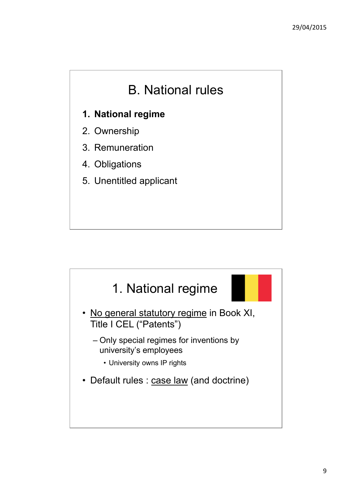### B. National rules

#### **1. National regime**

- 2. Ownership
- 3. Remuneration
- 4. Obligations
- 5. Unentitled applicant

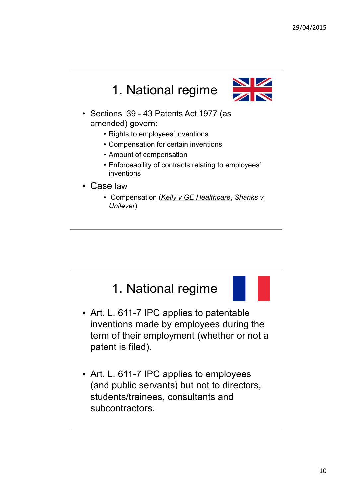

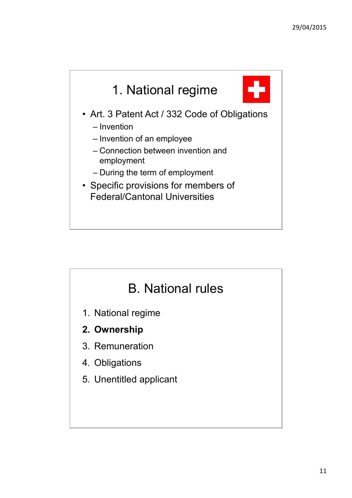

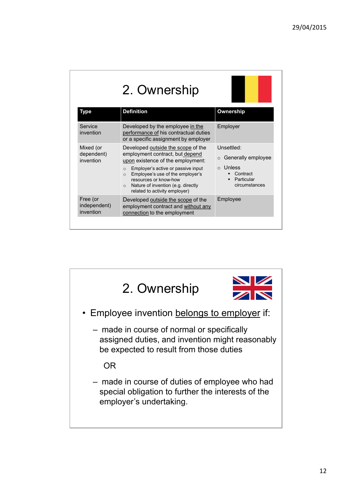| 2. Ownership                          |                                                                                                                                                                                                                                                                                                                        |                                                                                                     |
|---------------------------------------|------------------------------------------------------------------------------------------------------------------------------------------------------------------------------------------------------------------------------------------------------------------------------------------------------------------------|-----------------------------------------------------------------------------------------------------|
| <b>Type</b>                           | <b>Definition</b>                                                                                                                                                                                                                                                                                                      | Ownership                                                                                           |
| Service<br>invention                  | Developed by the employee in the<br>performance of his contractual duties<br>or a specific assignment by employer                                                                                                                                                                                                      | Employer                                                                                            |
| Mixed (or<br>dependent)<br>invention  | Developed outside the scope of the<br>employment contract, but depend<br>upon existence of the employment:<br>Employer's active or passive input<br>$\Omega$<br>Employee's use of the employer's<br>$\circ$<br>resources or know-how<br>Nature of invention (e.g. directly<br>$\circ$<br>related to activity employer) | Unsettled:<br>○ Generally employee<br>Unless<br>$\Omega$<br>Contract<br>Particular<br>circumstances |
| Free (or<br>independent)<br>invention | Developed outside the scope of the<br>employment contract and without any<br>connection to the employment                                                                                                                                                                                                              | Employee                                                                                            |

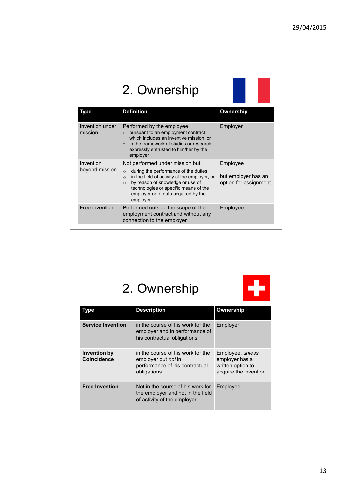| 2. Ownership               |                                                                                                                                                                                                                                                        |                                              |
|----------------------------|--------------------------------------------------------------------------------------------------------------------------------------------------------------------------------------------------------------------------------------------------------|----------------------------------------------|
| Type                       | <b>Definition</b>                                                                                                                                                                                                                                      | <b>Ownership</b>                             |
| Invention under<br>mission | Performed by the employee:<br>pursuant to an employment contract<br>$\Omega$<br>which includes an inventive mission; or<br>in the framework of studies or research<br>$\Omega$<br>expressly entrusted to him/her by the<br>employer                    | Employer                                     |
| Invention                  | Not performed under mission but:                                                                                                                                                                                                                       | Employee                                     |
| beyond mission             | during the performance of the duties;<br>$\circ$<br>in the field of activity of the employer; or<br>$\circ$<br>by reason of knowledge or use of<br>$\circ$<br>technologies or specific means of the<br>employer or of data acquired by the<br>employer | but employer has an<br>option for assignment |
| Free invention             | Performed outside the scope of the<br>employment contract and without any<br>connection to the employer                                                                                                                                                | Employee                                     |

| 2. Ownership                       |                                                                                                           |                                                                                  |
|------------------------------------|-----------------------------------------------------------------------------------------------------------|----------------------------------------------------------------------------------|
| <b>Type</b>                        | <b>Description</b>                                                                                        | Ownership                                                                        |
| <b>Service Invention</b>           | in the course of his work for the<br>employer and in performance of<br>his contractual obligations        | Employer                                                                         |
| Invention by<br><b>Coincidence</b> | in the course of his work for the<br>employer but not in<br>performance of his contractual<br>obligations | Employee, unless<br>employer has a<br>written option to<br>acquire the invention |
| <b>Free Invention</b>              | Not in the course of his work for<br>the employer and not in the field<br>of activity of the employer     | Employee                                                                         |
|                                    |                                                                                                           |                                                                                  |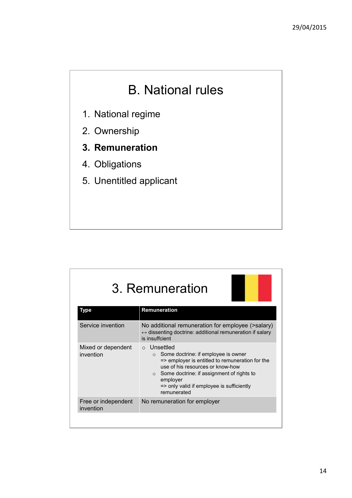### B. National rules

- 1. National regime
- 2. Ownership
- **3. Remuneration**
- 4. Obligations
- 5. Unentitled applicant

| 3. Remuneration                  |                                                                                                                                                                                                                                                                                   |
|----------------------------------|-----------------------------------------------------------------------------------------------------------------------------------------------------------------------------------------------------------------------------------------------------------------------------------|
| <b>Type</b>                      | Remuneration                                                                                                                                                                                                                                                                      |
| Service invention                | No additional remuneration for employee (>salary)<br>$\leftrightarrow$ dissenting doctrine: additional remuneration if salary<br>is insuffcient                                                                                                                                   |
| Mixed or dependent<br>invention  | ○ Unsettled<br>Some doctrine: if employee is owner<br>$\circ$<br>=> employer is entitled to remuneration for the<br>use of his resources or know-how<br>$\circ$ Some doctrine: if assignment of rights to<br>employer<br>=> only valid if employee is sufficiently<br>remunerated |
| Free or independent<br>invention | No remuneration for employer                                                                                                                                                                                                                                                      |
|                                  |                                                                                                                                                                                                                                                                                   |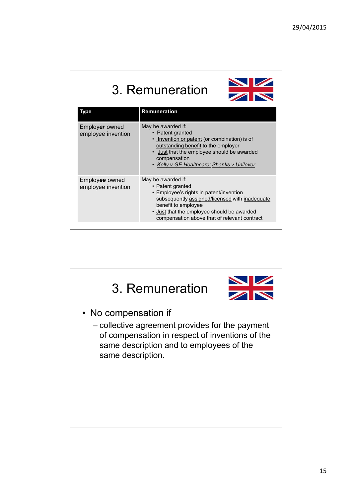### 3. Remuneration



| Type                                 | <b>Remuneration</b>                                                                                                                                                                                                                                      |
|--------------------------------------|----------------------------------------------------------------------------------------------------------------------------------------------------------------------------------------------------------------------------------------------------------|
| Employer owned<br>employee invention | May be awarded if:<br>• Patent granted<br>• Invention or patent (or combination) is of<br>outstanding benefit to the employer<br>• Just that the employee should be awarded<br>compensation<br>• Kelly v GE Healthcare; Shanks v Unilever                |
| Employee owned<br>employee invention | May be awarded if:<br>• Patent granted<br>• Employee's rights in patent/invention<br>subsequently assigned/licensed with inadequate<br>benefit to employee<br>. Just that the employee should be awarded<br>compensation above that of relevant contract |

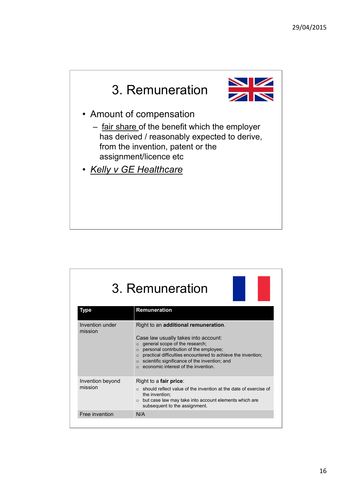

| 3. Remuneration             |                                                                                                                                                                                                                                                                                                                                                                      |  |
|-----------------------------|----------------------------------------------------------------------------------------------------------------------------------------------------------------------------------------------------------------------------------------------------------------------------------------------------------------------------------------------------------------------|--|
| Type                        | Remuneration                                                                                                                                                                                                                                                                                                                                                         |  |
| Invention under<br>mission  | Right to an additional remuneration.<br>Case law usually takes into account:<br>$\circ$ general scope of the research;<br>personal contribution of the employee;<br>$\Omega$<br>practical difficulties encountered to achieve the invention;<br>$\Omega$<br>$\circ$ scientific significance of the invention; and<br>economic interest of the invention.<br>$\Omega$ |  |
| Invention beyond<br>mission | Right to a fair price:<br>$\circ$ should reflect value of the invention at the date of exercise of<br>the invention:<br>but case law may take into account elements which are<br>$\circ$<br>subsequent to the assignment.                                                                                                                                            |  |
| Free invention              | N/A                                                                                                                                                                                                                                                                                                                                                                  |  |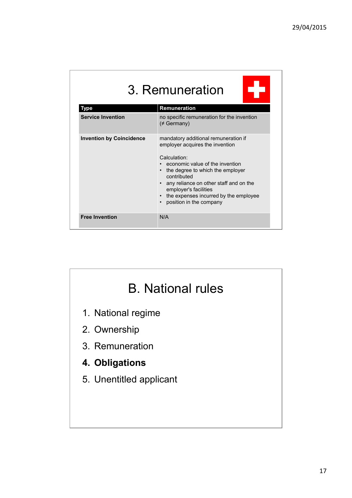| 3. Remuneration                 |                                                                                                                                                                                                                                                                                                                      |  |
|---------------------------------|----------------------------------------------------------------------------------------------------------------------------------------------------------------------------------------------------------------------------------------------------------------------------------------------------------------------|--|
| Type                            | Remuneration                                                                                                                                                                                                                                                                                                         |  |
| <b>Service Invention</b>        | no specific remuneration for the invention<br>$(\neq$ Germany)                                                                                                                                                                                                                                                       |  |
| <b>Invention by Coincidence</b> | mandatory additional remuneration if<br>employer acquires the invention<br>Calculation:<br>economic value of the invention<br>the degree to which the employer<br>contributed<br>any reliance on other staff and on the<br>employer's facilities<br>the expenses incurred by the employee<br>position in the company |  |
| <b>Free Invention</b>           | N/A                                                                                                                                                                                                                                                                                                                  |  |

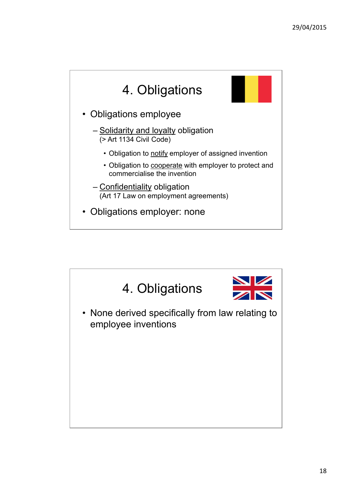

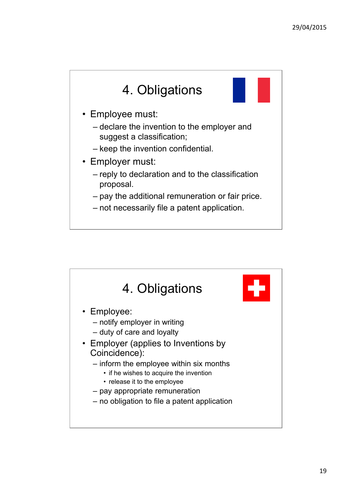

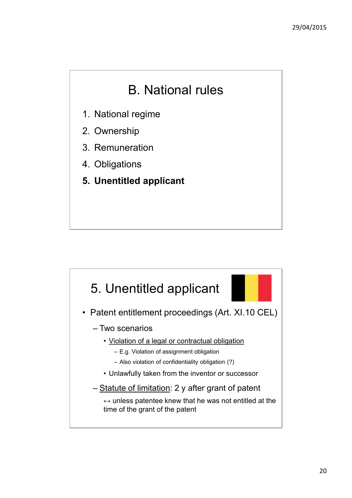### B. National rules

- 1. National regime
- 2. Ownership
- 3. Remuneration
- 4. Obligations
- **5. Unentitled applicant**

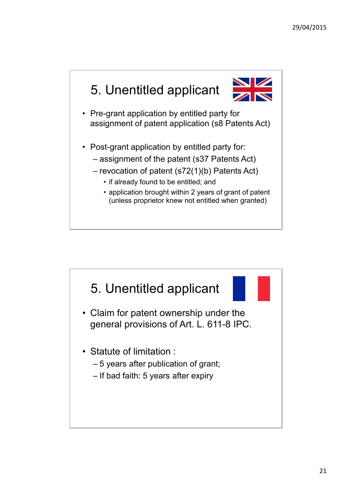

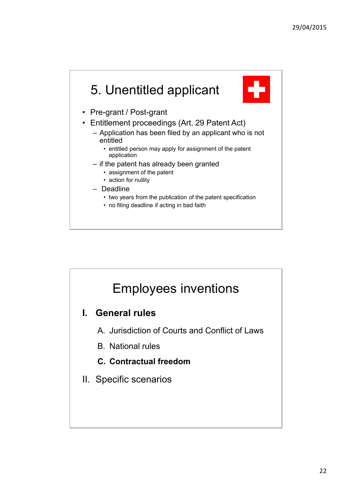

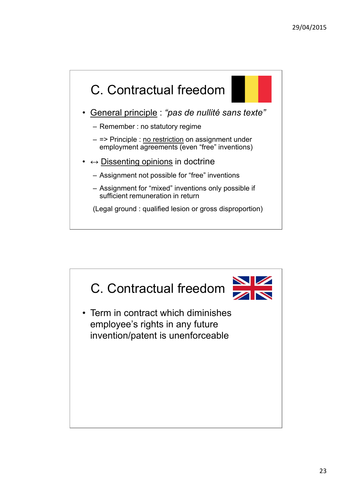

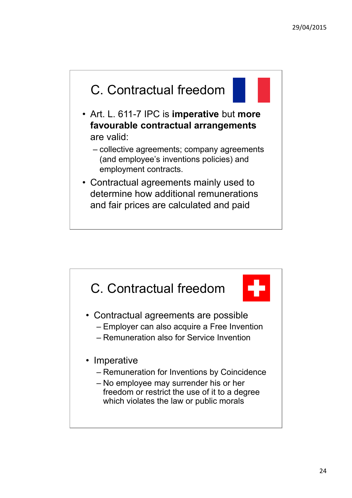

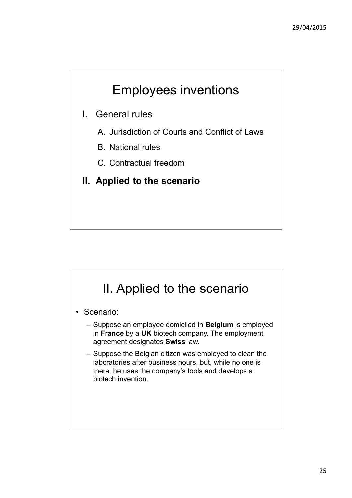- I. General rules
	- A. Jurisdiction of Courts and Conflict of Laws
	- B. National rules
	- C. Contractual freedom
- **II. Applied to the scenario**

### II. Applied to the scenario

- Scenario:
	- Suppose an employee domiciled in **Belgium** is employed in **France** by a **UK** biotech company. The employment agreement designates **Swiss** law.
	- Suppose the Belgian citizen was employed to clean the laboratories after business hours, but, while no one is there, he uses the company's tools and develops a biotech invention.